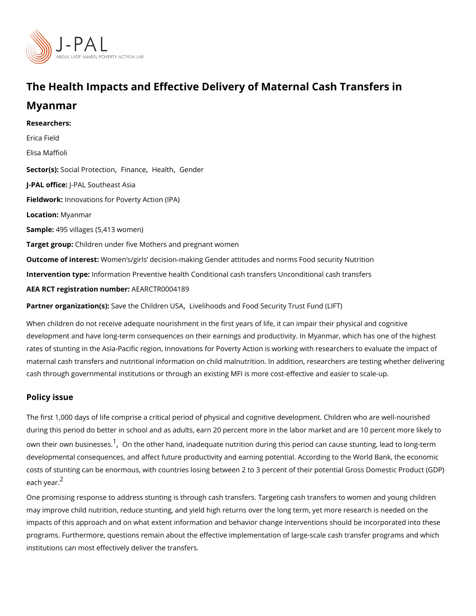## The Health Impacts and Effective Delivery of Maternal Cash

Myanmar

Researchers: [Erica F](https://www.povertyactionlab.org/person/field)ield Elisa Maffioli Sector([Social Prot](https://www.povertyactionlab.org/sector/social-protection)[ection](https://www.povertyactionlab.org/sector/finance) [,](https://www.povertyactionlab.org/sector/health) Cheealth [Gend](https://www.povertyactionlab.org/sector/gender)er J-PAL of tic PeAL Southeast Asia Fieldworkhnovations for Poverty Action (IPA) LocatioM: y an mar Sample4:95 villages (5,413 women) Target gro@pildren under five Mothers and pregnant women Outcome of inteWeosmten s/girls decision-making Gender attitudes and norms Food security Intervention typpfe: rmation Preventive health Conditional cash transfers Unconditional cash AEA RCT registration ArEuAnRbCeTR0004189

Partner organizatSanvesthe Childret hvb Bhoods and Food Security Trust Fund (LIFT)

When children do not receive adequate nourishment in the first years of life, it can impai development and have long-term consequences on their earnings and productivity. In Mya rates of stunting in the Asia-Pacific region, Innovations for Poverty Action is working with maternal cash transfers and nutritional information on child malnutrition. In addition, rese cash through governmental institutions or through an existing MFI is more cost-effective and

## Policy issue

The first 1,000 days of life comprise a critical period of physical and cognitive developme during this period do better in school and as adults, earn 20 percent more in the labor ma own their own bus<sup>[1](#page-2-0)</sup>in @sns the other hand[,](#page-2-0) inadequate nutrition during this period can cause s developmental consequences, and affect future productivity and earning potential. Accord costs of stunting can be enormous, with countries losing between 2 to 3 percent of their p each  $y \hat{e}$ ar.

One promising response to address stunting is through cash transfers. Targeting cash tra may improve child nutrition, reduce stunting, and yield high returns over the long term, yet impacts of this approach and on what extent information and behavior change interventior programs. Furthermore, questions remain about the effective implementation of large-scal institutions can most effectively deliver the transfers.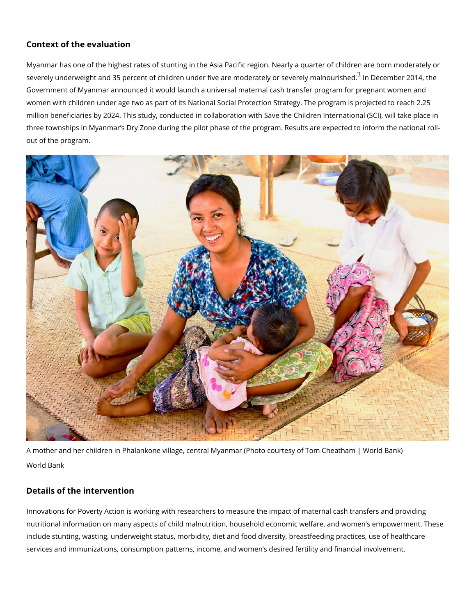## Context of the evaluation

Myanmar has one of the highest rates of stunting in the Asia Pacific region. Nearly a qua severely underweight and [3](#page-2-0)5 percent of children under five are mo $\overline{3}$  emalDelcye on beev 2e0 re4y thm and Government of Myanmar announced it would launch a universal maternal cash transfer pro women with children under age two as part of its National Social Protection Strategy. The million beneficiaries by 2024. This study, conducted in collaboration with Save the Childr three townships in Myanmar s Dry Zone during the pilot phase of the program. Results are out of the program.

A mother and her children in Phalankone village, central Myanmar (Photo courtesy of Tom World Bank

## Details of the intervention

Innovations for Poverty Action is working with researchers to measure the impact of mate nutritional information on many aspects of child malnutrition, household economic welfare include stunting, wasting, underweight status, morbidity, diet and food diversity, breastfe services and immunizations, consumption patterns, income, and women s desired fertility